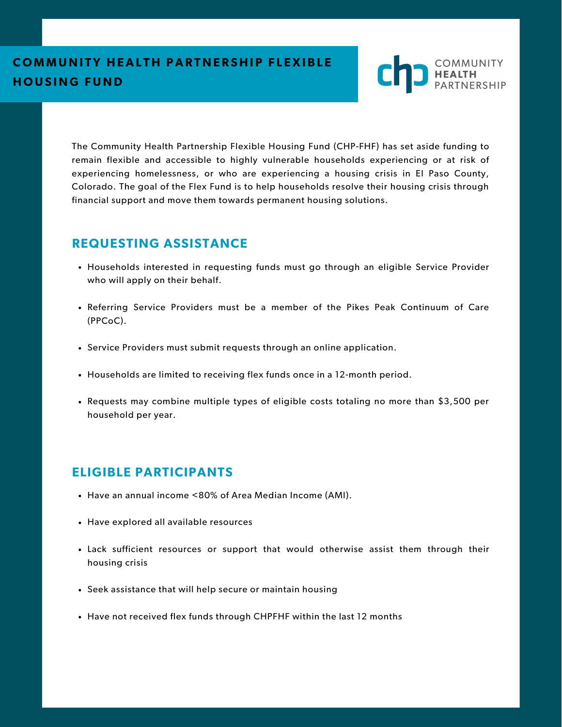

The Community Health Partnership Flexible Housing Fund (CHP-FHF) has set aside funding to remain flexible and accessible to highly vulnerable households experiencing or at risk of experiencing homelessness, or who are experiencing a housing crisis in El Paso County, Colorado. The goal of the Flex Fund is to help households resolve their housing crisis through financial support and move them towards permanent housing solutions.

# **REQUESTING ASSISTANCE**

- Households interested in requesting funds must go through an eligible Service Provider who will apply on their behalf.
- Referring Service Providers must be a member of the Pikes Peak Continuum of Care (PPCoC).
- Service Providers must submit requests through an online application.
- Households are limited to receiving flex funds once in a 12-month period.
- Requests may combine multiple types of eligible costs totaling no more than \$3,500 per household per year.

# **ELIGIBLE PARTICIPANTS**

- Have an annual income <80% of Area Median Income (AMI).
- Have explored all available resources
- Lack sufficient resources or support that would otherwise assist them through their housing crisis
- Seek assistance that will help secure or maintain housing
- Have not received flex funds through CHPFHF within the last 12 months